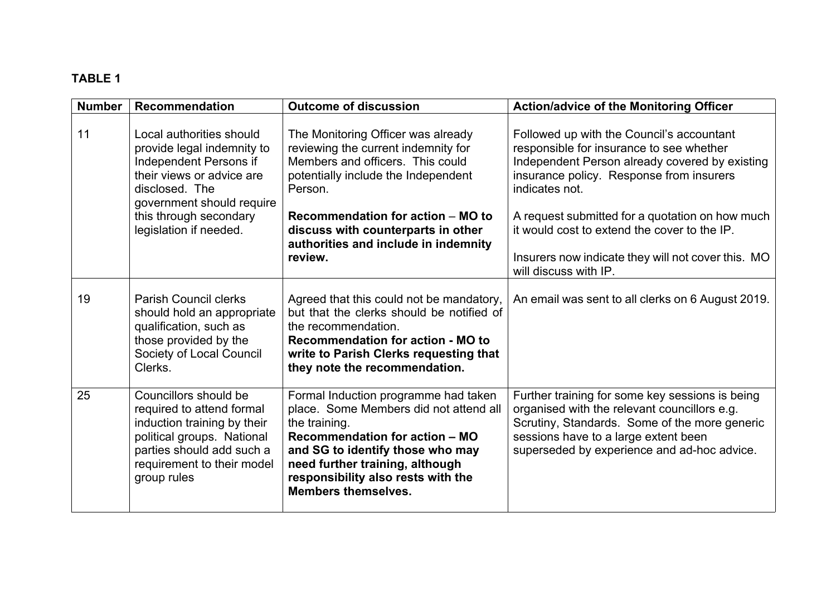## **TABLE 1**

| <b>Number</b> | <b>Recommendation</b>                                                                                                                                                                     | <b>Outcome of discussion</b>                                                                                                                                                                                                                                                 | <b>Action/advice of the Monitoring Officer</b>                                                                                                                                                                                          |
|---------------|-------------------------------------------------------------------------------------------------------------------------------------------------------------------------------------------|------------------------------------------------------------------------------------------------------------------------------------------------------------------------------------------------------------------------------------------------------------------------------|-----------------------------------------------------------------------------------------------------------------------------------------------------------------------------------------------------------------------------------------|
| 11            | Local authorities should<br>provide legal indemnity to<br>Independent Persons if<br>their views or advice are<br>disclosed. The<br>government should require                              | The Monitoring Officer was already<br>reviewing the current indemnity for<br>Members and officers. This could<br>potentially include the Independent<br>Person.                                                                                                              | Followed up with the Council's accountant<br>responsible for insurance to see whether<br>Independent Person already covered by existing<br>insurance policy. Response from insurers<br>indicates not.                                   |
|               | this through secondary<br>legislation if needed.                                                                                                                                          | Recommendation for action - MO to<br>discuss with counterparts in other<br>authorities and include in indemnity<br>review.                                                                                                                                                   | A request submitted for a quotation on how much<br>it would cost to extend the cover to the IP.<br>Insurers now indicate they will not cover this. MO<br>will discuss with IP.                                                          |
| 19            | <b>Parish Council clerks</b><br>should hold an appropriate<br>qualification, such as<br>those provided by the<br>Society of Local Council<br>Clerks.                                      | Agreed that this could not be mandatory,<br>but that the clerks should be notified of<br>the recommendation.<br><b>Recommendation for action - MO to</b><br>write to Parish Clerks requesting that<br>they note the recommendation.                                          | An email was sent to all clerks on 6 August 2019.                                                                                                                                                                                       |
| 25            | Councillors should be<br>required to attend formal<br>induction training by their<br>political groups. National<br>parties should add such a<br>requirement to their model<br>group rules | Formal Induction programme had taken<br>place. Some Members did not attend all<br>the training.<br>Recommendation for action - MO<br>and SG to identify those who may<br>need further training, although<br>responsibility also rests with the<br><b>Members themselves.</b> | Further training for some key sessions is being<br>organised with the relevant councillors e.g.<br>Scrutiny, Standards. Some of the more generic<br>sessions have to a large extent been<br>superseded by experience and ad-hoc advice. |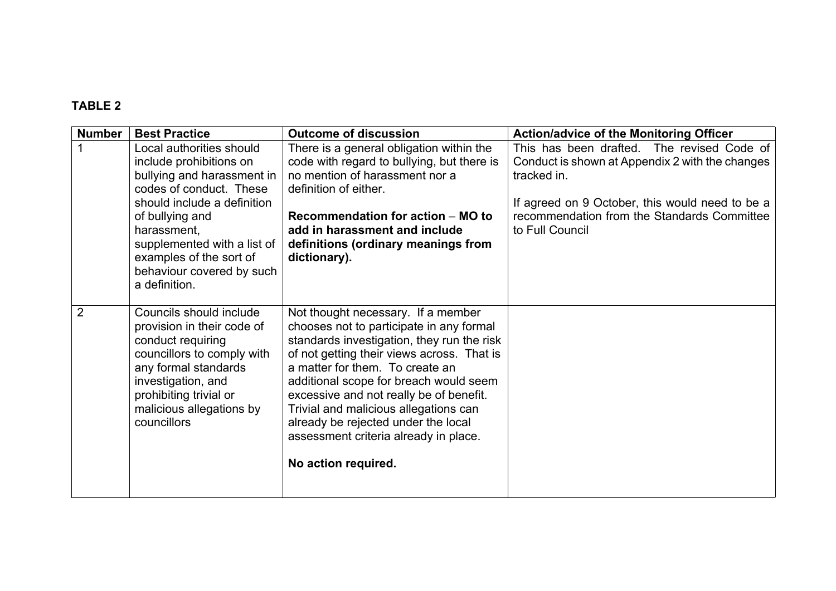## **TABLE 2**

| <b>Number</b>  | <b>Best Practice</b>                                                                                                                                                                                                                                                                  | <b>Outcome of discussion</b>                                                                                                                                                                                                                                                                                                                                                                                                                       | <b>Action/advice of the Monitoring Officer</b>                                                                                                                                                                                    |
|----------------|---------------------------------------------------------------------------------------------------------------------------------------------------------------------------------------------------------------------------------------------------------------------------------------|----------------------------------------------------------------------------------------------------------------------------------------------------------------------------------------------------------------------------------------------------------------------------------------------------------------------------------------------------------------------------------------------------------------------------------------------------|-----------------------------------------------------------------------------------------------------------------------------------------------------------------------------------------------------------------------------------|
|                | Local authorities should<br>include prohibitions on<br>bullying and harassment in<br>codes of conduct. These<br>should include a definition<br>of bullying and<br>harassment,<br>supplemented with a list of<br>examples of the sort of<br>behaviour covered by such<br>a definition. | There is a general obligation within the<br>code with regard to bullying, but there is<br>no mention of harassment nor a<br>definition of either.<br>Recommendation for action - MO to<br>add in harassment and include<br>definitions (ordinary meanings from<br>dictionary).                                                                                                                                                                     | This has been drafted. The revised Code of<br>Conduct is shown at Appendix 2 with the changes<br>tracked in.<br>If agreed on 9 October, this would need to be a<br>recommendation from the Standards Committee<br>to Full Council |
| $\overline{2}$ | Councils should include<br>provision in their code of<br>conduct requiring<br>councillors to comply with<br>any formal standards<br>investigation, and<br>prohibiting trivial or<br>malicious allegations by<br>councillors                                                           | Not thought necessary. If a member<br>chooses not to participate in any formal<br>standards investigation, they run the risk<br>of not getting their views across. That is<br>a matter for them. To create an<br>additional scope for breach would seem<br>excessive and not really be of benefit.<br>Trivial and malicious allegations can<br>already be rejected under the local<br>assessment criteria already in place.<br>No action required. |                                                                                                                                                                                                                                   |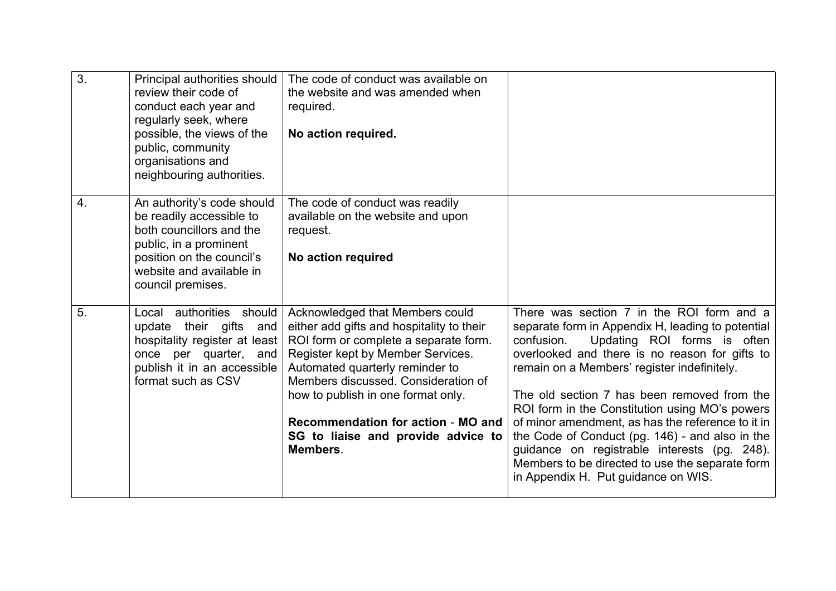| $\overline{3}$ . | Principal authorities should<br>review their code of<br>conduct each year and<br>regularly seek, where<br>possible, the views of the<br>public, community<br>organisations and<br>neighbouring authorities. | The code of conduct was available on<br>the website and was amended when<br>required.<br>No action required.                                                                                                                                                                                                                                                       |                                                                                                                                                                                                                                                                                                                                                                                                                                                                                                                                                                                                 |
|------------------|-------------------------------------------------------------------------------------------------------------------------------------------------------------------------------------------------------------|--------------------------------------------------------------------------------------------------------------------------------------------------------------------------------------------------------------------------------------------------------------------------------------------------------------------------------------------------------------------|-------------------------------------------------------------------------------------------------------------------------------------------------------------------------------------------------------------------------------------------------------------------------------------------------------------------------------------------------------------------------------------------------------------------------------------------------------------------------------------------------------------------------------------------------------------------------------------------------|
| $\overline{4}$ . | An authority's code should<br>be readily accessible to<br>both councillors and the<br>public, in a prominent<br>position on the council's<br>website and available in<br>council premises.                  | The code of conduct was readily<br>available on the website and upon<br>request.<br>No action required                                                                                                                                                                                                                                                             |                                                                                                                                                                                                                                                                                                                                                                                                                                                                                                                                                                                                 |
| 5.               | Local authorities should<br>update their gifts<br>and<br>hospitality register at least<br>once per quarter, and<br>publish it in an accessible<br>format such as CSV                                        | Acknowledged that Members could<br>either add gifts and hospitality to their<br>ROI form or complete a separate form.<br>Register kept by Member Services.<br>Automated quarterly reminder to<br>Members discussed. Consideration of<br>how to publish in one format only.<br>Recommendation for action - MO and<br>SG to liaise and provide advice to<br>Members. | There was section 7 in the ROI form and a<br>separate form in Appendix H, leading to potential<br>Updating ROI forms is often<br>confusion.<br>overlooked and there is no reason for gifts to<br>remain on a Members' register indefinitely.<br>The old section 7 has been removed from the<br>ROI form in the Constitution using MO's powers<br>of minor amendment, as has the reference to it in<br>the Code of Conduct (pg. 146) - and also in the<br>guidance on registrable interests (pg. 248).<br>Members to be directed to use the separate form<br>in Appendix H. Put guidance on WIS. |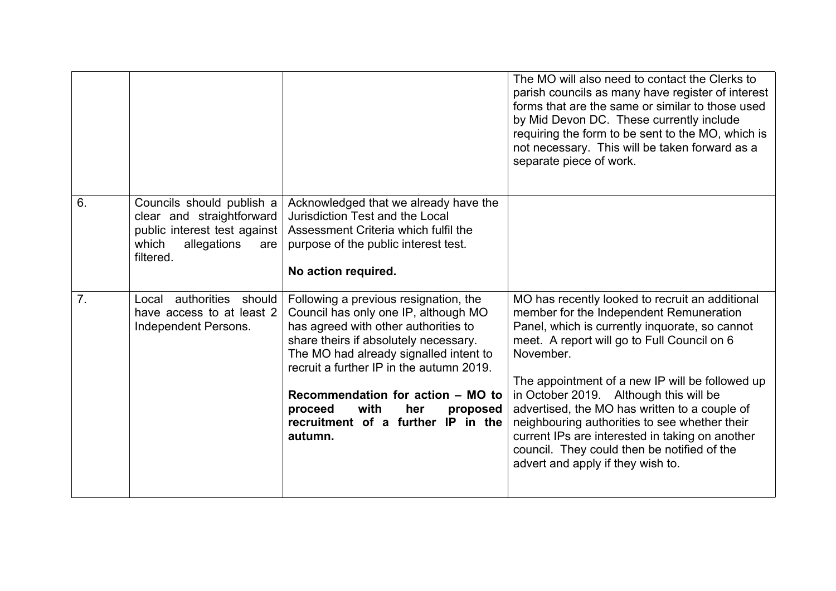|                |                                                                                                                                    |                                                                                                                                                                                                                                                                                                                                                                                  | The MO will also need to contact the Clerks to<br>parish councils as many have register of interest<br>forms that are the same or similar to those used<br>by Mid Devon DC. These currently include<br>requiring the form to be sent to the MO, which is<br>not necessary. This will be taken forward as a<br>separate piece of work.                                                                                                                                                                                                          |
|----------------|------------------------------------------------------------------------------------------------------------------------------------|----------------------------------------------------------------------------------------------------------------------------------------------------------------------------------------------------------------------------------------------------------------------------------------------------------------------------------------------------------------------------------|------------------------------------------------------------------------------------------------------------------------------------------------------------------------------------------------------------------------------------------------------------------------------------------------------------------------------------------------------------------------------------------------------------------------------------------------------------------------------------------------------------------------------------------------|
| 6.             | Councils should publish a<br>clear and straightforward<br>public interest test against<br>allegations<br>which<br>are<br>filtered. | Acknowledged that we already have the<br>Jurisdiction Test and the Local<br>Assessment Criteria which fulfil the<br>purpose of the public interest test.<br>No action required.                                                                                                                                                                                                  |                                                                                                                                                                                                                                                                                                                                                                                                                                                                                                                                                |
| 7 <sub>1</sub> | authorities<br>should<br>Local<br>have access to at least 2<br>Independent Persons.                                                | Following a previous resignation, the<br>Council has only one IP, although MO<br>has agreed with other authorities to<br>share theirs if absolutely necessary.<br>The MO had already signalled intent to<br>recruit a further IP in the autumn 2019.<br>Recommendation for action - MO to<br>proceed<br>with<br>her<br>proposed<br>recruitment of a further IP in the<br>autumn. | MO has recently looked to recruit an additional<br>member for the Independent Remuneration<br>Panel, which is currently inquorate, so cannot<br>meet. A report will go to Full Council on 6<br>November.<br>The appointment of a new IP will be followed up<br>in October 2019. Although this will be<br>advertised, the MO has written to a couple of<br>neighbouring authorities to see whether their<br>current IPs are interested in taking on another<br>council. They could then be notified of the<br>advert and apply if they wish to. |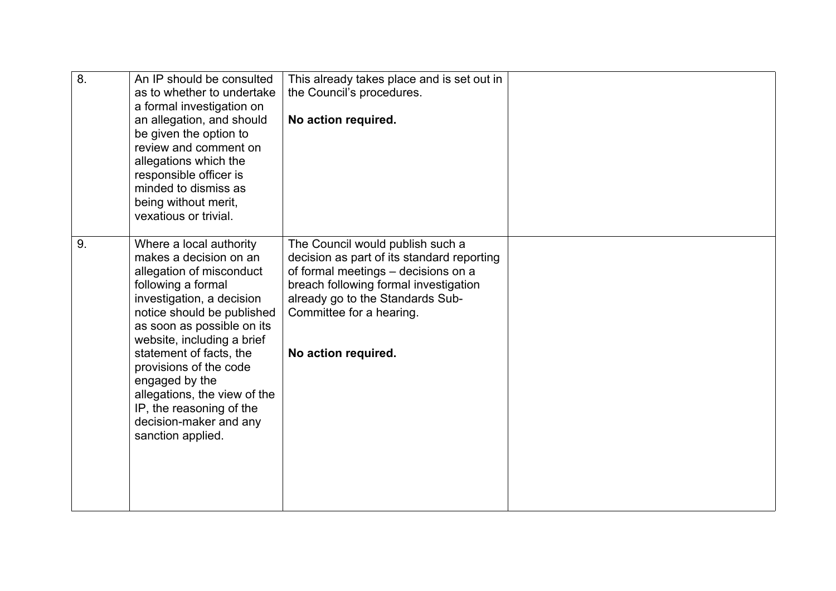| $\overline{8}$ . | An IP should be consulted<br>as to whether to undertake<br>a formal investigation on<br>an allegation, and should<br>be given the option to<br>review and comment on<br>allegations which the<br>responsible officer is<br>minded to dismiss as<br>being without merit,<br>vexatious or trivial.                                                                                                             | This already takes place and is set out in<br>the Council's procedures.<br>No action required.                                                                                                                                                        |  |
|------------------|--------------------------------------------------------------------------------------------------------------------------------------------------------------------------------------------------------------------------------------------------------------------------------------------------------------------------------------------------------------------------------------------------------------|-------------------------------------------------------------------------------------------------------------------------------------------------------------------------------------------------------------------------------------------------------|--|
| 9.               | Where a local authority<br>makes a decision on an<br>allegation of misconduct<br>following a formal<br>investigation, a decision<br>notice should be published<br>as soon as possible on its<br>website, including a brief<br>statement of facts, the<br>provisions of the code<br>engaged by the<br>allegations, the view of the<br>IP, the reasoning of the<br>decision-maker and any<br>sanction applied. | The Council would publish such a<br>decision as part of its standard reporting<br>of formal meetings – decisions on a<br>breach following formal investigation<br>already go to the Standards Sub-<br>Committee for a hearing.<br>No action required. |  |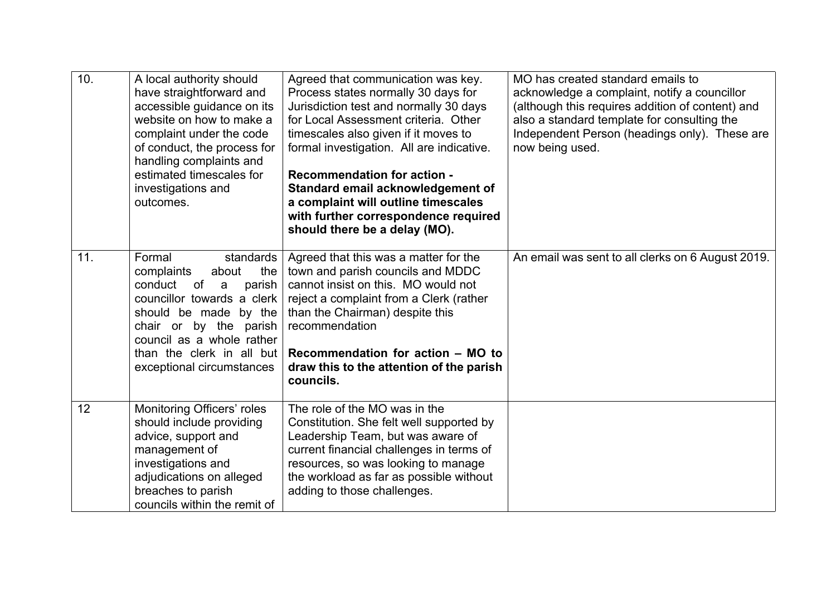| 10. | A local authority should<br>have straightforward and<br>accessible guidance on its<br>website on how to make a<br>complaint under the code<br>of conduct, the process for<br>handling complaints and<br>estimated timescales for<br>investigations and<br>outcomes. | Agreed that communication was key.<br>Process states normally 30 days for<br>Jurisdiction test and normally 30 days<br>for Local Assessment criteria. Other<br>timescales also given if it moves to<br>formal investigation. All are indicative.<br><b>Recommendation for action -</b><br>Standard email acknowledgement of<br>a complaint will outline timescales<br>with further correspondence required<br>should there be a delay (MO). | MO has created standard emails to<br>acknowledge a complaint, notify a councillor<br>(although this requires addition of content) and<br>also a standard template for consulting the<br>Independent Person (headings only). These are<br>now being used. |
|-----|---------------------------------------------------------------------------------------------------------------------------------------------------------------------------------------------------------------------------------------------------------------------|---------------------------------------------------------------------------------------------------------------------------------------------------------------------------------------------------------------------------------------------------------------------------------------------------------------------------------------------------------------------------------------------------------------------------------------------|----------------------------------------------------------------------------------------------------------------------------------------------------------------------------------------------------------------------------------------------------------|
| 11. | Formal<br>standards<br>the<br>complaints<br>about<br>conduct<br>of<br>a<br>parish<br>councillor towards a clerk<br>should be made by the<br>chair or by the parish<br>council as a whole rather<br>than the clerk in all but<br>exceptional circumstances           | Agreed that this was a matter for the<br>town and parish councils and MDDC<br>cannot insist on this. MO would not<br>reject a complaint from a Clerk (rather<br>than the Chairman) despite this<br>recommendation<br>Recommendation for action - MO to<br>draw this to the attention of the parish<br>councils.                                                                                                                             | An email was sent to all clerks on 6 August 2019.                                                                                                                                                                                                        |
| 12  | Monitoring Officers' roles<br>should include providing<br>advice, support and<br>management of<br>investigations and<br>adjudications on alleged<br>breaches to parish<br>councils within the remit of                                                              | The role of the MO was in the<br>Constitution. She felt well supported by<br>Leadership Team, but was aware of<br>current financial challenges in terms of<br>resources, so was looking to manage<br>the workload as far as possible without<br>adding to those challenges.                                                                                                                                                                 |                                                                                                                                                                                                                                                          |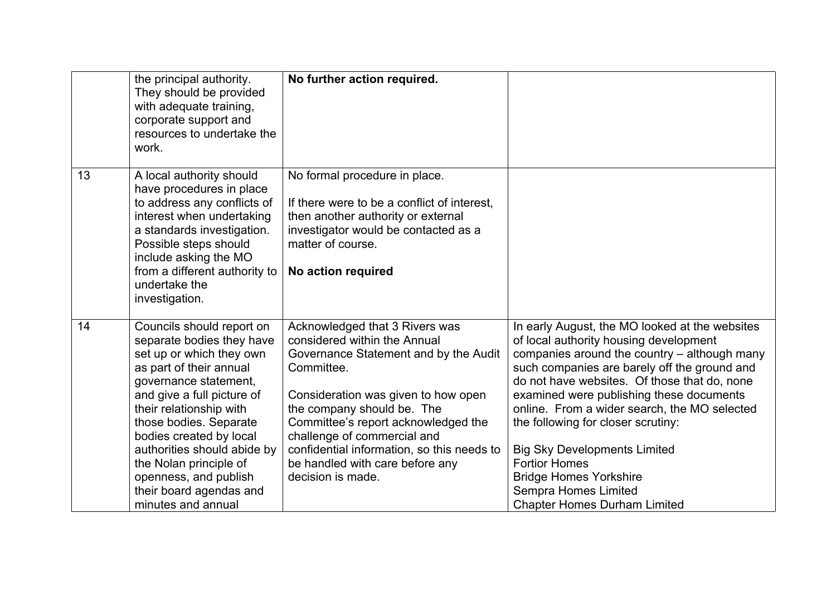|    | the principal authority.<br>They should be provided<br>with adequate training,<br>corporate support and<br>resources to undertake the<br>work.                                                                                                                                                                                                                                          | No further action required.                                                                                                                                                                                                                                                                                                                                            |                                                                                                                                                                                                                                                                                                                                                                                                                                                                                                                                           |
|----|-----------------------------------------------------------------------------------------------------------------------------------------------------------------------------------------------------------------------------------------------------------------------------------------------------------------------------------------------------------------------------------------|------------------------------------------------------------------------------------------------------------------------------------------------------------------------------------------------------------------------------------------------------------------------------------------------------------------------------------------------------------------------|-------------------------------------------------------------------------------------------------------------------------------------------------------------------------------------------------------------------------------------------------------------------------------------------------------------------------------------------------------------------------------------------------------------------------------------------------------------------------------------------------------------------------------------------|
| 13 | A local authority should<br>have procedures in place<br>to address any conflicts of<br>interest when undertaking<br>a standards investigation.<br>Possible steps should<br>include asking the MO<br>from a different authority to<br>undertake the<br>investigation.                                                                                                                    | No formal procedure in place.<br>If there were to be a conflict of interest.<br>then another authority or external<br>investigator would be contacted as a<br>matter of course.<br>No action required                                                                                                                                                                  |                                                                                                                                                                                                                                                                                                                                                                                                                                                                                                                                           |
| 14 | Councils should report on<br>separate bodies they have<br>set up or which they own<br>as part of their annual<br>governance statement,<br>and give a full picture of<br>their relationship with<br>those bodies. Separate<br>bodies created by local<br>authorities should abide by<br>the Nolan principle of<br>openness, and publish<br>their board agendas and<br>minutes and annual | Acknowledged that 3 Rivers was<br>considered within the Annual<br>Governance Statement and by the Audit<br>Committee.<br>Consideration was given to how open<br>the company should be. The<br>Committee's report acknowledged the<br>challenge of commercial and<br>confidential information, so this needs to<br>be handled with care before any<br>decision is made. | In early August, the MO looked at the websites<br>of local authority housing development<br>companies around the country - although many<br>such companies are barely off the ground and<br>do not have websites. Of those that do, none<br>examined were publishing these documents<br>online. From a wider search, the MO selected<br>the following for closer scrutiny:<br><b>Big Sky Developments Limited</b><br><b>Fortior Homes</b><br><b>Bridge Homes Yorkshire</b><br>Sempra Homes Limited<br><b>Chapter Homes Durham Limited</b> |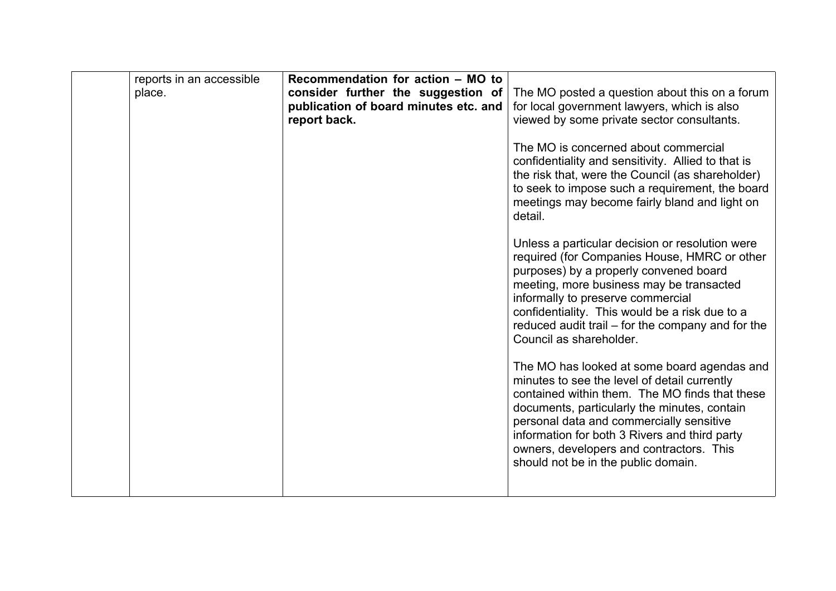| reports in an accessible<br>place. | Recommendation for action - MO to<br>consider further the suggestion of<br>publication of board minutes etc. and | The MO posted a question about this on a forum<br>for local government lawyers, which is also                                                                                                                                                                                                                                                                                 |
|------------------------------------|------------------------------------------------------------------------------------------------------------------|-------------------------------------------------------------------------------------------------------------------------------------------------------------------------------------------------------------------------------------------------------------------------------------------------------------------------------------------------------------------------------|
|                                    | report back.                                                                                                     | viewed by some private sector consultants.<br>The MO is concerned about commercial<br>confidentiality and sensitivity. Allied to that is<br>the risk that, were the Council (as shareholder)<br>to seek to impose such a requirement, the board<br>meetings may become fairly bland and light on<br>detail.                                                                   |
|                                    |                                                                                                                  | Unless a particular decision or resolution were<br>required (for Companies House, HMRC or other<br>purposes) by a properly convened board<br>meeting, more business may be transacted<br>informally to preserve commercial<br>confidentiality. This would be a risk due to a<br>reduced audit trail – for the company and for the<br>Council as shareholder.                  |
|                                    |                                                                                                                  | The MO has looked at some board agendas and<br>minutes to see the level of detail currently<br>contained within them. The MO finds that these<br>documents, particularly the minutes, contain<br>personal data and commercially sensitive<br>information for both 3 Rivers and third party<br>owners, developers and contractors. This<br>should not be in the public domain. |